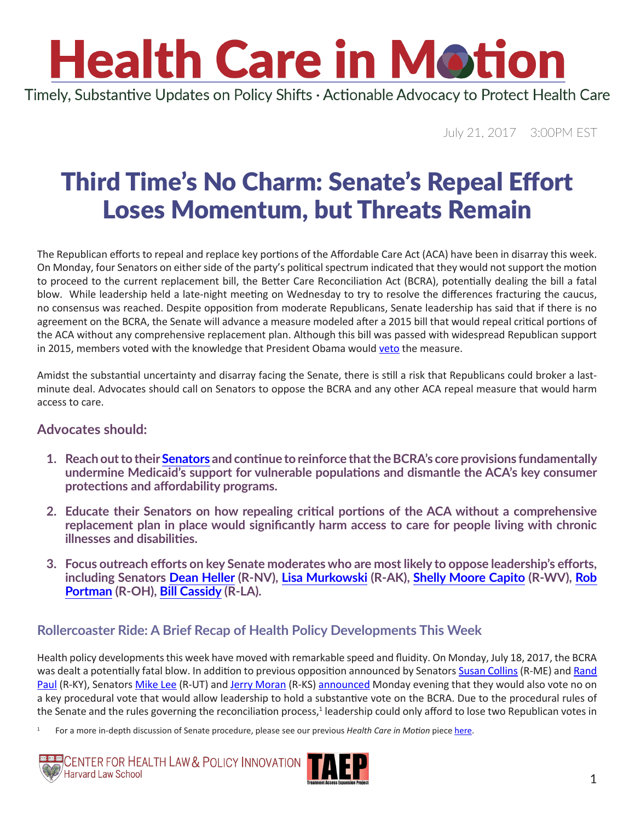# **Health Care in Motion**

Timely, Substantive Updates on Policy Shifts · Actionable Advocacy to Protect Health Care

July 21, 2017 3:00PM EST

### Third Time's No Charm: Senate's Repeal Effort Loses Momentum, but Threats Remain

The Republican efforts to repeal and replace key portions of the Affordable Care Act (ACA) have been in disarray this week. On Monday, four Senators on either side of the party's political spectrum indicated that they would not support the motion to proceed to the current replacement bill, the Better Care Reconciliation Act (BCRA), potentially dealing the bill a fatal blow. While leadership held a late-night meeting on Wednesday to try to resolve the differences fracturing the caucus, no consensus was reached. Despite opposition from moderate Republicans, Senate leadership has said that if there is no agreement on the BCRA, the Senate will advance a measure modeled after a 2015 bill that would repeal critical portions of the ACA without any comprehensive replacement plan. Although this bill was passed with widespread Republican support in 2015, members voted with the knowledge that President Obama would [veto](http://www.cnn.com/2016/01/08/politics/obama-vetoes-obamacare-repeal-bill/index.html) the measure.

Amidst the substantial uncertainty and disarray facing the Senate, there is still a risk that Republicans could broker a lastminute deal. Advocates should call on Senators to oppose the BCRA and any other ACA repeal measure that would harm access to care.

#### **Advocates should:**

- **1. Reach out to their [Senators](https://www.senate.gov/senators/contact/) and continue to reinforce that the BCRA's core provisions fundamentally undermine Medicaid's support for vulnerable populations and dismantle the ACA's key consumer protections and affordability programs.**
- **2. Educate their Senators on how repealing critical portions of the ACA without a comprehensive replacement plan in place would significantly harm access to care for people living with chronic illnesses and disabilities.**
- **3. Focus outreach efforts on key Senate moderates who are most likely to oppose leadership's efforts, including Senators [Dean Heller](https://www.heller.senate.gov/public/index.cfm/contact-form) (R-NV), [Lisa Murkowski](https://www.murkowski.senate.gov/contact) (R-AK), [Shelly Moore Capito](https://www.capito.senate.gov/contact/contact-shelley) (R-WV), [Rob](https://www.portman.senate.gov/public/index.cfm/contact-form)  [Portman](https://www.portman.senate.gov/public/index.cfm/contact-form) (R-OH), [Bill Cassidy](https://www.cassidy.senate.gov/contact) (R-LA).**

### **Rollercoaster Ride: A Brief Recap of Health Policy Developments This Week**

Health policy developments this week have moved with remarkable speed and fluidity. On Monday, July 18, 2017, the BCRA was dealt a potentially fatal blow. In addition to previous opposition announced by Senators [Susan Collins](https://www.collins.senate.gov/contact) (R-ME) and Rand [Paul](https://www.paul.senate.gov/) (R-KY), Senators [Mike Lee](https://www.lee.senate.gov/public/) (R-UT) and [Jerry Moran](https://www.moran.senate.gov/public/index.cfm/connect) (R-KS) [announced](http://www.politico.com/story/2017/07/17/obamacare-senators-turn-on-mcconnell-240646) Monday evening that they would also vote no on a key procedural vote that would allow leadership to hold a substantive vote on the BCRA. Due to the procedural rules of the Senate and the rules governing the reconciliation process,<sup>1</sup> leadership could only afford to lose two Republican votes in

1 For a more in-depth discussion of Senate procedure, please see our previous *Health Care in Motion* piece [here](http://www.chlpi.org/wp-content/uploads/2013/12/Repeal-Reconciliation-and-Review-circulation2.pdf).



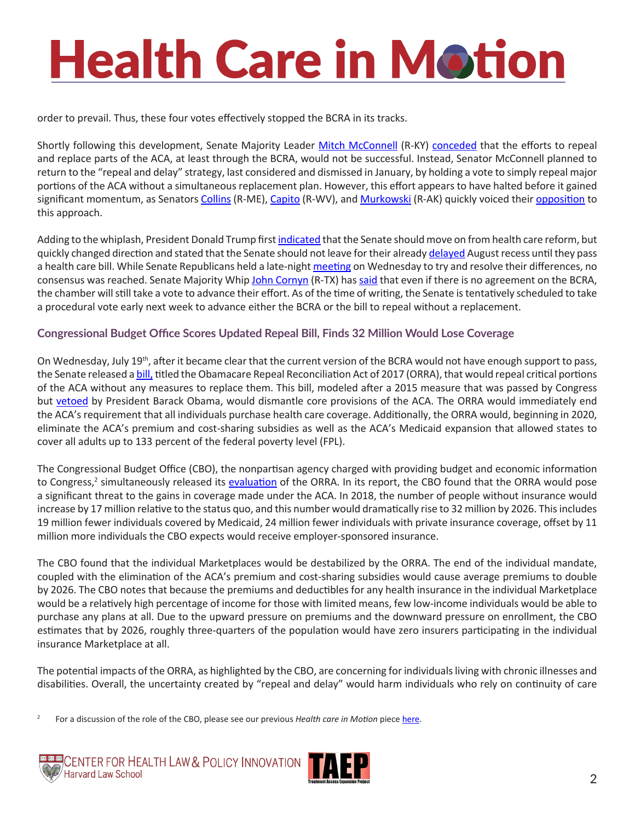## **Health Care in Motion**

order to prevail. Thus, these four votes effectively stopped the BCRA in its tracks.

Shortly following this development, Senate Majority Leader [Mitch McConnell](https://www.mcconnell.senate.gov/public/index.cfm/contactform) (R-KY) [conceded](http://www.politico.com/story/2017/07/17/obamacare-senators-turn-on-mcconnell-240646) that the efforts to repeal and replace parts of the ACA, at least through the BCRA, would not be successful. Instead, Senator McConnell planned to return to the "repeal and delay" strategy, last considered and dismissed in January, by holding a vote to simply repeal major portions of the ACA without a simultaneous replacement plan. However, this effort appears to have halted before it gained significant momentum, as Senators [Collins](https://www.collins.senate.gov/contact) (R-ME), [Capito](https://www.capito.senate.gov/contact/contact-shelley) (R-WV), and [Murkowski](https://www.murkowski.senate.gov/contact) (R-AK) quickly voiced their [opposition](https://www.nytimes.com/2017/07/18/us/politics/republicans-obamacare-repeal-now-replace-later.html?emc=edit_na_20170718&nl=breaking-news&nlid=12024474&ref=headline) to this approach.

Adding to the whiplash, President Donald Trump first [indicated](https://www.theguardian.com/us-news/2017/jul/19/donald-trump-healthcare-bill-revived-obamacare-senate) that the Senate should move on from health care reform, but quickly changed direction and stated that the Senate should not leave for their already [delayed](http://www.politico.com/story/2017/07/11/mcconnell-senate-will-work-through-first-two-weeks-of-august-recess-240407) August recess until they pass a health care bill. While Senate Republicans held a late-night [meeting](http://www.politico.com/story/2017/07/19/trump-congress-no-recess-health-care-240718) on Wednesday to try and resolve their differences, no consensus was reached. Senate Majority Whip [John Cornyn](https://www.cornyn.senate.gov/contact) (R-TX) has [said](http://talkingpointsmemo.com/livewire/last-ditch-obamacare-repeal-meeting-gop-senators) that even if there is no agreement on the BCRA, the chamber will still take a vote to advance their effort. As of the time of writing, the Senate is tentatively scheduled to take a procedural vote early next week to advance either the BCRA or the bill to repeal without a replacement.

#### **Congressional Budget Office Scores Updated Repeal Bill, Finds 32 Million Would Lose Coverage**

On Wednesday, July 19<sup>th</sup>, after it became clear that the current version of the BCRA would not have enough support to pass, the Senate released a **[bill](https://www.budget.senate.gov/repeal), titled the Obamacare Repeal Reconciliation Act of 2017 (ORRA)**, that would repeal critical portions of the ACA without any measures to replace them. This bill, modeled after a 2015 measure that was passed by Congress but [vetoed](http://www.cnn.com/2016/01/08/politics/obama-vetoes-obamacare-repeal-bill/index.html) by President Barack Obama, would dismantle core provisions of the ACA. The ORRA would immediately end the ACA's requirement that all individuals purchase health care coverage. Additionally, the ORRA would, beginning in 2020, eliminate the ACA's premium and cost-sharing subsidies as well as the ACA's Medicaid expansion that allowed states to cover all adults up to 133 percent of the federal poverty level (FPL).

The Congressional Budget Office (CBO), the nonpartisan agency charged with providing budget and economic information to Congress,<sup>2</sup> simultaneously released its <u>[evaluation](https://www.cbo.gov/publication/52939)</u> of the ORRA. In its report, the CBO found that the ORRA would pose a significant threat to the gains in coverage made under the ACA. In 2018, the number of people without insurance would increase by 17 million relative to the status quo, and this number would dramatically rise to 32 million by 2026. This includes 19 million fewer individuals covered by Medicaid, 24 million fewer individuals with private insurance coverage, offset by 11 million more individuals the CBO expects would receive employer-sponsored insurance.

The CBO found that the individual Marketplaces would be destabilized by the ORRA. The end of the individual mandate, coupled with the elimination of the ACA's premium and cost-sharing subsidies would cause average premiums to double by 2026. The CBO notes that because the premiums and deductibles for any health insurance in the individual Marketplace would be a relatively high percentage of income for those with limited means, few low-income individuals would be able to purchase any plans at all. Due to the upward pressure on premiums and the downward pressure on enrollment, the CBO estimates that by 2026, roughly three-quarters of the population would have zero insurers participating in the individual insurance Marketplace at all.

The potential impacts of the ORRA, as highlighted by the CBO, are concerning for individuals living with chronic illnesses and disabilities. Overall, the uncertainty created by "repeal and delay" would harm individuals who rely on continuity of care

2 For a discussion of the role of the CBO, please see our previous *Health care in Motion* piece [here.](http://www.chlpi.org/wp-content/uploads/2013/12/Health-Care-in-Motion_03_14_2017.pdf)